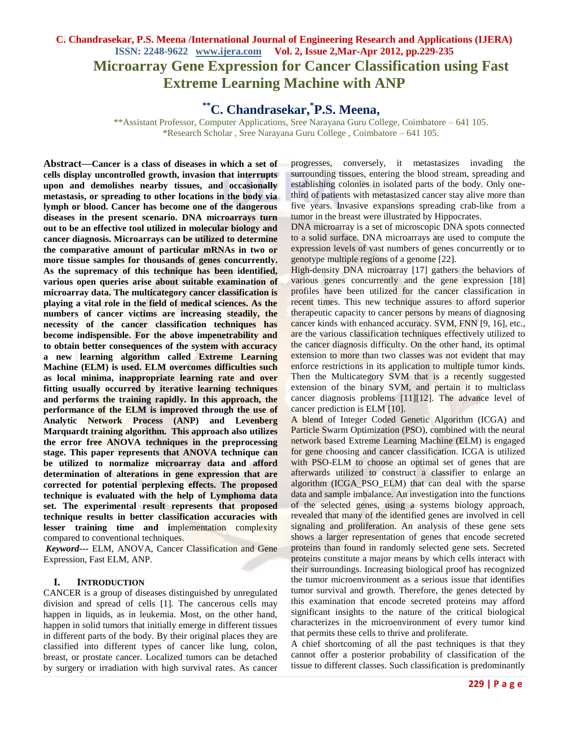## **C. Chandrasekar, P.S. Meena /International Journal of Engineering Research and Applications (IJERA) ISSN: 2248-9622 www.ijera.com Vol. 2, Issue 2,Mar-Apr 2012, pp.229-235 Microarray Gene Expression for Cancer Classification using Fast Extreme Learning Machine with ANP**

# **\*\*C. Chandrasekar,\* P.S. Meena,**

\*\*Assistant Professor, Computer Applications, Sree Narayana Guru College, Coimbatore – 641 105. \*Research Scholar , Sree Narayana Guru College , Coimbatore – 641 105.

**Abstract—Cancer is a class of diseases in which a set of cells display uncontrolled growth, invasion that interrupts upon and demolishes nearby tissues, and occasionally metastasis, or spreading to other locations in the body via lymph or blood. Cancer has become one of the dangerous diseases in the present scenario. DNA microarrays turn out to be an effective tool utilized in molecular biology and cancer diagnosis. Microarrays can be utilized to determine the comparative amount of particular mRNAs in two or more tissue samples for thousands of genes concurrently. As the supremacy of this technique has been identified, various open queries arise about suitable examination of microarray data. The multicategory cancer classification is playing a vital role in the field of medical sciences. As the numbers of cancer victims are increasing steadily, the necessity of the cancer classification techniques has become indispensible. For the above impenetrability and to obtain better consequences of the system with accuracy a new learning algorithm called Extreme Learning Machine (ELM) is used. ELM overcomes difficulties such as local minima, inappropriate learning rate and over fitting usually occurred by iterative learning techniques and performs the training rapidly. In this approach, the performance of the ELM is improved through the use of Analytic Network Process (ANP) and Levenberg Marquardt training algorithm. This approach also utilizes the error free ANOVA techniques in the preprocessing stage. This paper represents that ANOVA technique can be utilized to normalize microarray data and afford determination of alterations in gene expression that are corrected for potential perplexing effects. The proposed technique is evaluated with the help of Lymphoma data set. The experimental result represents that proposed technique results in better classification accuracies with lesser training time and i**mplementation complexity compared to conventional techniques.

*Keyword---* ELM, ANOVA, Cancer Classification and Gene Expression, Fast ELM, ANP.

#### **I. INTRODUCTION**

ANCER is a group of diseases distinguished by unregulated Cdivision and spread of cells [1]. The cancerous cells may happen in liquids, as in leukemia. Most, on the other hand, happen in solid tumors that initially emerge in different tissues in different parts of the body. By their original places they are classified into different types of cancer like lung, colon, breast, or prostate cancer. Localized tumors can be detached by surgery or irradiation with high survival rates. As cancer

progresses, conversely, it metastasizes invading the surrounding tissues, entering the blood stream, spreading and establishing colonies in isolated parts of the body. Only onethird of patients with metastasized cancer stay alive more than five years. Invasive expansions spreading crab-like from a tumor in the breast were illustrated by Hippocrates.

DNA microarray is a set of microscopic DNA spots connected to a solid surface. DNA microarrays are used to compute the expression levels of vast numbers of genes concurrently or to genotype multiple regions of a genome [22].

High-density DNA microarray [17] gathers the behaviors of various genes concurrently and the gene expression [18] profiles have been utilized for the cancer classification in recent times. This new technique assures to afford superior therapeutic capacity to cancer persons by means of diagnosing cancer kinds with enhanced accuracy. SVM, FNN [9, 16], etc., are the various classification techniques effectively utilized to the cancer diagnosis difficulty. On the other hand, its optimal extension to more than two classes was not evident that may enforce restrictions in its application to multiple tumor kinds. Then the Multicategory SVM that is a recently suggested extension of the binary SVM, and pertain it to multiclass cancer diagnosis problems [11][12]. The advance level of cancer prediction is ELM [10].

A blend of Integer Coded Genetic Algorithm (ICGA) and Particle Swarm Optimization (PSO), combined with the neural network based Extreme Learning Machine (ELM) is engaged for gene choosing and cancer classification. ICGA is utilized with PSO-ELM to choose an optimal set of genes that are afterwards utilized to construct a classifier to enlarge an algorithm (ICGA\_PSO\_ELM) that can deal with the sparse data and sample imbalance. An investigation into the functions of the selected genes, using a systems biology approach, revealed that many of the identified genes are involved in cell signaling and proliferation. An analysis of these gene sets shows a larger representation of genes that encode secreted proteins than found in randomly selected gene sets. Secreted proteins constitute a major means by which cells interact with their surroundings. Increasing biological proof has recognized the tumor microenvironment as a serious issue that identifies tumor survival and growth. Therefore, the genes detected by this examination that encode secreted proteins may afford significant insights to the nature of the critical biological characterizes in the microenvironment of every tumor kind that permits these cells to thrive and proliferate.

A chief shortcoming of all the past techniques is that they cannot offer a posterior probability of classification of the tissue to different classes. Such classification is predominantly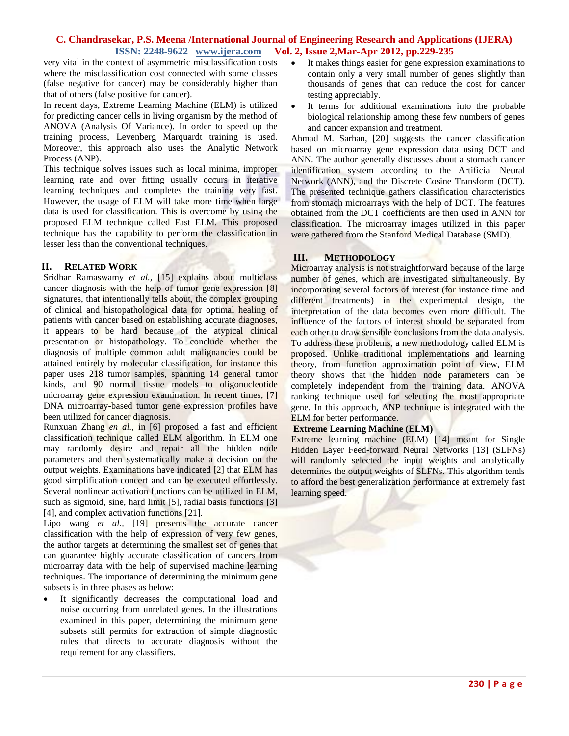very vital in the context of asymmetric misclassification costs where the misclassification cost connected with some classes (false negative for cancer) may be considerably higher than that of others (false positive for cancer).

In recent days, Extreme Learning Machine (ELM) is utilized for predicting cancer cells in living organism by the method of ANOVA (Analysis Of Variance). In order to speed up the training process, Levenberg Marquardt training is used. Moreover, this approach also uses the Analytic Network Process (ANP).

This technique solves issues such as local minima, improper learning rate and over fitting usually occurs in iterative learning techniques and completes the training very fast. However, the usage of ELM will take more time when large data is used for classification. This is overcome by using the proposed ELM technique called Fast ELM. This proposed technique has the capability to perform the classification in lesser less than the conventional techniques.

#### **II. RELATED WORK**

Sridhar Ramaswamy *et al.,* [15] explains about multiclass cancer diagnosis with the help of tumor gene expression [8] signatures, that intentionally tells about, the complex grouping of clinical and histopathological data for optimal healing of patients with cancer based on establishing accurate diagnoses, it appears to be hard because of the atypical clinical presentation or histopathology. To conclude whether the diagnosis of multiple common adult malignancies could be attained entirely by molecular classification, for instance this paper uses 218 tumor samples, spanning 14 general tumor kinds, and 90 normal tissue models to oligonucleotide microarray gene expression examination. In recent times, [7] DNA microarray-based tumor gene expression profiles have been utilized for cancer diagnosis.

Runxuan Zhang *en al.,* in [6] proposed a fast and efficient classification technique called ELM algorithm. In ELM one may randomly desire and repair all the hidden node parameters and then systematically make a decision on the output weights. Examinations have indicated [2] that ELM has good simplification concert and can be executed effortlessly. Several nonlinear activation functions can be utilized in ELM, such as sigmoid, sine, hard limit [5], radial basis functions [3] [4], and complex activation functions [21].

Lipo wang *et al.,* [19] presents the accurate cancer classification with the help of expression of very few genes, the author targets at determining the smallest set of genes that can guarantee highly accurate classification of cancers from microarray data with the help of supervised machine learning techniques. The importance of determining the minimum gene subsets is in three phases as below:

 It significantly decreases the computational load and noise occurring from unrelated genes. In the illustrations examined in this paper, determining the minimum gene subsets still permits for extraction of simple diagnostic rules that directs to accurate diagnosis without the requirement for any classifiers.

- It makes things easier for gene expression examinations to contain only a very small number of genes slightly than thousands of genes that can reduce the cost for cancer testing appreciably.
- It terms for additional examinations into the probable biological relationship among these few numbers of genes and cancer expansion and treatment.

Ahmad M. Sarhan, [20] suggests the cancer classification based on microarray gene expression data using DCT and ANN. The author generally discusses about a stomach cancer identification system according to the Artificial Neural Network (ANN), and the Discrete Cosine Transform (DCT). The presented technique gathers classification characteristics from stomach microarrays with the help of DCT. The features obtained from the DCT coefficients are then used in ANN for classification. The microarray images utilized in this paper were gathered from the Stanford Medical Database (SMD).

## **III. METHODOLOGY**

Microarray analysis is not straightforward because of the large number of genes, which are investigated simultaneously. By incorporating several factors of interest (for instance time and different treatments) in the experimental design, the interpretation of the data becomes even more difficult. The influence of the factors of interest should be separated from each other to draw sensible conclusions from the data analysis. To address these problems, a new methodology called ELM is proposed. Unlike traditional implementations and learning theory, from function approximation point of view, ELM theory shows that the hidden node parameters can be completely independent from the training data. ANOVA ranking technique used for selecting the most appropriate gene. In this approach, ANP technique is integrated with the ELM for better performance.

## **Extreme Learning Machine (ELM)**

Extreme learning machine (ELM) [14] meant for Single Hidden Layer Feed-forward Neural Networks [13] (SLFNs) will randomly selected the input weights and analytically determines the output weights of SLFNs. This algorithm tends to afford the best generalization performance at extremely fast learning speed.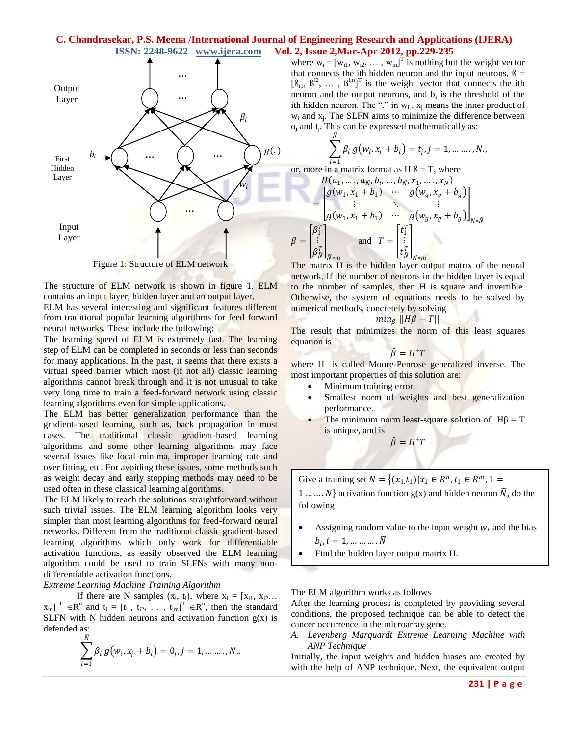$\beta$ 



Figure 1: Structure of ELM network

The structure of ELM network is shown in figure 1. ELM contains an input layer, hidden layer and an output layer.

ELM has several interesting and significant features different from traditional popular learning algorithms for feed forward neural networks. These include the following:

The learning speed of ELM is extremely fast. The learning step of ELM can be completed in seconds or less than seconds for many applications. In the past, it seems that there exists a virtual speed barrier which most (if not all) classic learning algorithms cannot break through and it is not unusual to take very long time to train a feed-forward network using classic learning algorithms even for simple applications.

The ELM has better generalization performance than the gradient-based learning, such as, back propagation in most cases. The traditional classic gradient-based learning algorithms and some other learning algorithms may face several issues like local minima, improper learning rate and over fitting, etc. For avoiding these issues, some methods such as weight decay and early stopping methods may need to be used often in these classical learning algorithms.

The ELM likely to reach the solutions straightforward without such trivial issues. The ELM learning algorithm looks very simpler than most learning algorithms for feed-forward neural networks. Different from the traditional classic gradient-based learning algorithms which only work for differentiable activation functions, as easily observed the ELM learning algorithm could be used to train SLFNs with many nondifferentiable activation functions.

*Extreme Learning Machine Training Algorithm*

If there are N samples  $(x_i, t_i)$ , where  $x_i = [x_{i1}, x_{i2}...]$  $x_{in}$ ]<sup>T</sup>  $\in$ R<sup>n</sup> and t<sub>i</sub> = [t<sub>i1</sub>, t<sub>i2</sub>, ..., t<sub>im</sub>]<sup>T</sup>  $\in$ R<sup>n</sup>, then the standard SLFN with N hidden neurons and activation function  $g(x)$  is defended as:

$$
\sum_{i=1}^{N} \beta_i g(w_i \cdot x_j + b_i) = 0_j, j = 1, \dots \dots, N,
$$

where  $w_i = [w_{i1}, w_{i2}, \dots, w_{in}]^T$  is nothing but the weight vector that connects the ith hidden neuron and the input neurons,  $B_i =$  $[\beta_{i1}, \beta^{i2}, \dots, \beta^{im}]^T$  is the weight vector that connects the ith neuron and the output neurons, and  $b_i$  is the threshold of the ith hidden neuron. The "." in  $w_i$ .  $x_j$  means the inner product of  $w_i$  and  $x_j$ . The SLFN aims to minimize the difference between  $o_j$  and  $t_j$ . This can be expressed mathematically as:

$$
\sum_{i=1}^N \beta_i g(w_i, x_j + b_i) = t_j, j = 1, \dots, N,
$$

or, more in a matrix format as H  $\beta$  = T, where

$$
H(a_1, \ldots, a_N, b_i, \ldots, b_N, x_1, \ldots, x_N)
$$
\n
$$
= \begin{bmatrix} g(w_1, x_1 + b_1) & \cdots & g(w_g, x_g + b_g) \\ \vdots & \ddots & \vdots \\ g(w_1, x_1 + b_1) & \cdots & g(w_g, x_g + b_g) \end{bmatrix}_{N*N}
$$
\n
$$
= \begin{bmatrix} \beta_1^T \\ \vdots \\ \beta_N^T \end{bmatrix}_{N*m} \quad \text{and} \quad T = \begin{bmatrix} t_1^T \\ \vdots \\ t_N^T \end{bmatrix}_{N*m}
$$

 $\left[\begin{array}{cc} V^N \end{array}\right]_{N \times m}$   $\left[\begin{array}{cc} V^N \end{array}\right]_{N \times m}$ <br>The matrix H is the hidden layer output matrix of the neural network. If the number of neurons in the hidden layer is equal to the number of samples, then H is square and invertible. Otherwise, the system of equations needs to be solved by numerical methods, concretely by solving

$$
min_{\beta} ||H\beta - T||
$$

The result that minimizes the norm of this least squares equation is

$$
\hat{\beta} = H^*T
$$

where  $H^{\dagger}$  is called Moore-Penrose generalized inverse. The most important properties of this solution are:

- Minimum training error.
- Smallest norm of weights and best generalization performance.
- The minimum norm least-square solution of  $H\beta = T$ is unique, and is

 $\hat{\beta} = H^*T$ 

Give a training set  $N = \{(x_1,t_1) | x_1 \in R^n, t_1 \in R^m, 1 =$ 1 ...  $\ldots$   $N$  activation function g(x) and hidden neuron  $\tilde{N}$ , do the following

Assigning random value to the input weight  $w_i$  and the bias  $b_i$ ,  $i = 1, \dots \dots \dots \widetilde{N}$ 

 $F_{\rm eff}$  is a finite group  $F_{\rm eff}$  in the output weight  $\mu$ 

Find the hidden layer output matrix H.

The ELM algorithm works as follows

After the learning process is completed by providing several conditions, the proposed technique can be able to detect the cancer occurrence in the microarray gene.

*A. Levenberg Marquardt Extreme Learning Machine with ANP Technique*

Initially, the input weights and hidden biases are created by with the help of ANP technique. Next, the equivalent output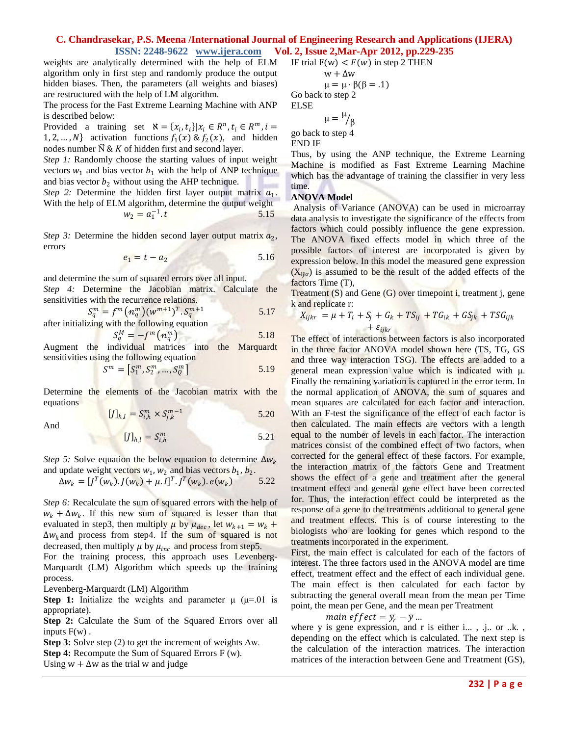weights are analytically determined with the help of ELM algorithm only in first step and randomly produce the output hidden biases. Then, the parameters (all weights and biases) are restructured with the help of LM algorithm.

The process for the Fast Extreme Learning Machine with ANP is described below:

Provided a training set  $\aleph = \{x_i, t_i\} | x_i \in R^n, t_i \in R^m, i =$ 1, 2, ..., N} activation functions  $f_1(x) \& f_2(x)$ , and hidden nodes number  $\breve{\mathrm{N}} \& K$  of hidden first and second layer.

*Step 1:* Randomly choose the starting values of input weight vectors  $w_1$  and bias vector  $b_1$  with the help of ANP technique and bias vector  $b_2$  without using the AHP technique.

*Step 2:* Determine the hidden first layer output matrix  $a_1$ . With the help of ELM algorithm, determine the output weight  $w_2 = a_1^{-1}$ . 5.15

*Step 3:* Determine the hidden second layer output matrix  $a_2$ , errors

$$
e_1 = t - a_2 \tag{5.16}
$$

and determine the sum of squared errors over all input.

*Step 4:* Determine the Jacobian matrix. Calculate the sensitivities with the recurrence relations.

$$
S_q^m = f^m \left( n_q^m \right) (w^{m+1})^T . S_q^{m+1} \tag{5.17}
$$

after initializing with the following equation

$$
S_q^M = -f^m \left( n_q^m \right) \tag{5.18}
$$

Augment the individual matrices into the Marquardt sensitivities using the following equation

$$
S^{m} = [S_{1}^{m}, S_{2}^{m}, \dots, S_{Q}^{m}]
$$
 5.19

Determine the elements of the Jacobian matrix with the equations

$$
[J]_{h,l} = S_{i,h}^m \times S_{j,k}^{m-1}
$$
 5.20

And

$$
[J]_{h,l} = S_{i,h}^m \tag{5.21}
$$

*Step 5:* Solve equation the below equation to determine  $\Delta w_k$ and update weight vectors  $w_1, w_2$  and bias vectors  $b_1, b_2$ .

$$
\Delta w_k = [J^T(w_k).J(w_k) + \mu.I]^T.J^T(w_k).e(w_k)
$$
 5.22

*Step 6:* Recalculate the sum of squared errors with the help of  $w_k + \Delta w_k$ . If this new sum of squared is lesser than that evaluated in step3, then multiply  $\mu$  by  $\mu_{dec}$ , let  $w_{k+1} = w_k + \mu_{enc}$  $\Delta w_k$  and process from step4. If the sum of squared is not decreased, then multiply  $\mu$  by  $\mu_{inc}$  and process from step5.

For the training process, this approach uses Levenberg-Marquardt (LM) Algorithm which speeds up the training process.

Levenberg-Marquardt (LM) Algorithm

**Step 1:** Initialize the weights and parameter  $\mu$  ( $\mu$ =.01 is appropriate).

**Step 2:** Calculate the Sum of the Squared Errors over all inputs  $F(w)$ .

**Step 3:** Solve step (2) to get the increment of weights  $\Delta w$ .

**Step 4:** Recompute the Sum of Squared Errors F (w).

Using  $w + \Delta w$  as the trial w and judge

IF trial 
$$
F(w) < F(w)
$$
 in step 2 THEN  $w + \Delta w$ 

$$
\mu = \mu \cdot \beta(\beta = .1)
$$
  
Go back to step 2  
ELSE

 $\mu = \mu$ β

go back to step 4 END IF

ELSE

Thus, by using the ANP technique, the Extreme Learning Machine is modified as Fast Extreme Learning Machine which has the advantage of training the classifier in very less time.

#### **ANOVA Model**

Analysis of Variance (ANOVA) can be used in microarray data analysis to investigate the significance of the effects from factors which could possibly influence the gene expression. The ANOVA fixed effects model in which three of the possible factors of interest are incorporated is given by expression below. In this model the measured gene expression  $(X_{iikr})$  is assumed to be the result of the added effects of the factors Time (T),

Treatment (S) and Gene (G) over timepoint i, treatment j, gene k and replicate r:

$$
X_{ijkr} = \mu + T_i + S_j + G_k + TS_{ij} + TG_{ik} + GS_{jk} + TSG_{ijk}
$$

The effect of interactions between factors is also incorporated in the three factor ANOVA model shown here (TS, TG, GS and three way interaction TSG). The effects are added to a general mean expression value which is indicated with μ. Finally the remaining variation is captured in the error term. In the normal application of ANOVA, the sum of squares and mean squares are calculated for each factor and interaction. With an F-test the significance of the effect of each factor is then calculated. The main effects are vectors with a length equal to the number of levels in each factor. The interaction matrices consist of the combined effect of two factors, when corrected for the general effect of these factors. For example, the interaction matrix of the factors Gene and Treatment shows the effect of a gene and treatment after the general treatment effect and general gene effect have been corrected for. Thus, the interaction effect could be interpreted as the response of a gene to the treatments additional to general gene and treatment effects. This is of course interesting to the biologists who are looking for genes which respond to the treatments incorporated in the experiment.

First, the main effect is calculated for each of the factors of interest. The three factors used in the ANOVA model are time effect, treatment effect and the effect of each individual gene. The main effect is then calculated for each factor by subtracting the general overall mean from the mean per Time point, the mean per Gene, and the mean per Treatment

main effect =  $\bar{y}_r - \bar{y}$  ...

where y is gene expression, and r is either i..., .j.. or ..k., depending on the effect which is calculated. The next step is the calculation of the interaction matrices. The interaction matrices of the interaction between Gene and Treatment (GS),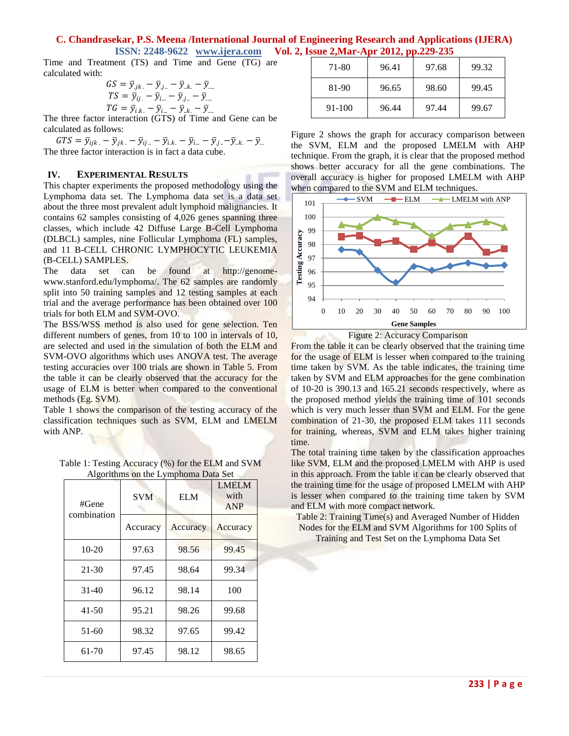Time and Treatment (TS) and Time and Gene (TG) are calculated with:

$$
GS = \bar{y}_{jk.} - \bar{y}_{j..} - \bar{y}_{.k.} - \bar{y}_{...
$$
  
\n
$$
TS = \bar{y}_{ij.} - \bar{y}_{i...} - \bar{y}_{.j..} - \bar{y}_{....}
$$
  
\n
$$
TG = \bar{y}_{i.k.} - \bar{y}_{i...} - \bar{y}_{.k.} - \bar{y}_{...}
$$

The three factor interaction (GTS) of Time and Gene can be calculated as follows:

 $GTS = \bar{y}_{ijk.} - \bar{y}_{jk.} - \bar{y}_{ij.} - \bar{y}_{i.k.} - \bar{y}_{i...} - \bar{y}_{.j.} - \bar{y}_{.k.} - \bar{y}_{...}$ The three factor interaction is in fact a data cube.

#### **IV. EXPERIMENTAL RESULTS**

This chapter experiments the proposed methodology using the Lymphoma data set. The Lymphoma data set is a data set about the three most prevalent adult lymphoid malignancies. It contains 62 samples consisting of 4,026 genes spanning three classes, which include 42 Diffuse Large B-Cell Lymphoma (DLBCL) samples, nine Follicular Lymphoma (FL) samples, and 11 B-CELL CHRONIC LYMPHOCYTIC LEUKEMIA (B-CELL) SAMPLES.

The data set can be found at http://genomewww.stanford.edu/lymphoma/. The 62 samples are randomly split into 50 training samples and 12 testing samples at each trial and the average performance has been obtained over 100 trials for both ELM and SVM-OVO.

The BSS/WSS method is also used for gene selection. Ten different numbers of genes, from 10 to 100 in intervals of 10, are selected and used in the simulation of both the ELM and SVM-OVO algorithms which uses ANOVA test. The average testing accuracies over 100 trials are shown in Table 5. From the table it can be clearly observed that the accuracy for the usage of ELM is better when compared to the conventional methods (Eg. SVM).

Table 1 shows the comparison of the testing accuracy of the classification techniques such as SVM, ELM and LMELM with ANP.

| Table 1: Testing Accuracy (%) for the ELM and SVM |                                     |              |  |
|---------------------------------------------------|-------------------------------------|--------------|--|
|                                                   | Algorithms on the Lymphoma Data Set |              |  |
|                                                   |                                     | <b>LMELM</b> |  |

| #Gene<br>combination | <b>SVM</b> | <b>ELM</b> | LIVILILIVI<br>with<br><b>ANP</b> |
|----------------------|------------|------------|----------------------------------|
|                      | Accuracy   | Accuracy   | Accuracy                         |
| $10-20$              | 97.63      | 98.56      | 99.45                            |
| $21 - 30$            | 97.45      | 98.64      | 99.34                            |
| $31 - 40$            | 96.12      | 98.14      | 100                              |
| $41 - 50$            | 95.21      | 98.26      | 99.68                            |
| $51-60$              | 98.32      | 97.65      | 99.42                            |
| 61-70                | 97.45      | 98.12      | 98.65                            |

| 71-80      | 96.41 | 97.68 | 99.32 |
|------------|-------|-------|-------|
| 81-90      | 96.65 | 98.60 | 99.45 |
| $91 - 100$ | 96.44 | 97.44 | 99.67 |

Figure 2 shows the graph for accuracy comparison between the SVM, ELM and the proposed LMELM with AHP technique. From the graph, it is clear that the proposed method shows better accuracy for all the gene combinations. The overall accuracy is higher for proposed LMELM with AHP when compared to the SVM and ELM techniques.





From the table it can be clearly observed that the training time for the usage of ELM is lesser when compared to the training time taken by SVM. As the table indicates, the training time taken by SVM and ELM approaches for the gene combination of 10-20 is 390.13 and 165.21 seconds respectively, where as the proposed method yields the training time of 101 seconds which is very much lesser than SVM and ELM. For the gene combination of 21-30, the proposed ELM takes 111 seconds for training, whereas, SVM and ELM takes higher training time.

The total training time taken by the classification approaches like SVM, ELM and the proposed LMELM with AHP is used in this approach. From the table it can be clearly observed that the training time for the usage of proposed LMELM with AHP is lesser when compared to the training time taken by SVM and ELM with more compact network.

Table 2: Training Time(s) and Averaged Number of Hidden Nodes for the ELM and SVM Algorithms for 100 Splits of

Training and Test Set on the Lymphoma Data Set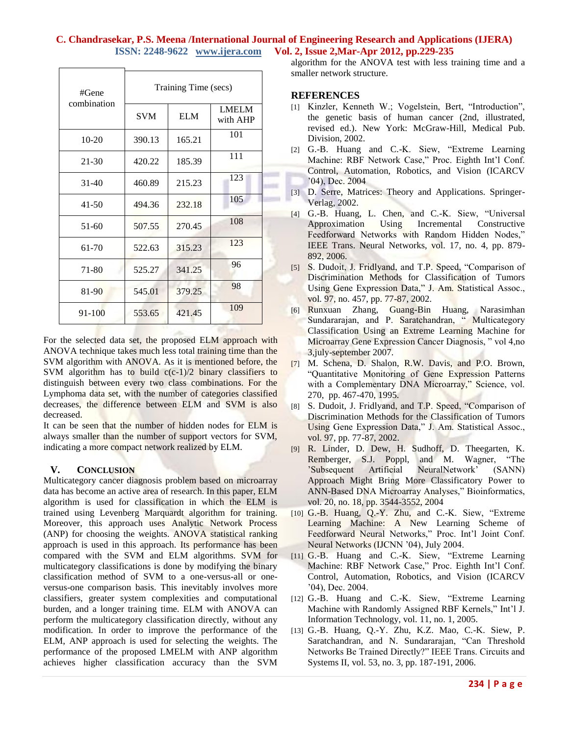| #Gene       | Training Time (secs) |            |                          |
|-------------|----------------------|------------|--------------------------|
| combination | <b>SVM</b>           | <b>ELM</b> | <b>LMELM</b><br>with AHP |
| $10-20$     | 390.13               | 165.21     | 101                      |
| 21-30       | 420.22               | 185.39     | 111                      |
| $31 - 40$   | 460.89               | 215.23     | 123                      |
| $41 - 50$   | 494.36               | 232.18     | 105                      |
| 51-60       | 507.55               | 270.45     | 108                      |
| 61-70       | 522.63               | 315.23     | 123                      |
| 71-80       | 525.27               | 341.25     | 96                       |
| 81-90       | 545.01               | 379.25     | 98                       |
| 91-100      | 553.65               | 421.45     | 109                      |

For the selected data set, the proposed ELM approach with ANOVA technique takes much less total training time than the SVM algorithm with ANOVA. As it is mentioned before, the SVM algorithm has to build  $c(c-1)/2$  binary classifiers to distinguish between every two class combinations. For the Lymphoma data set, with the number of categories classified decreases, the difference between ELM and SVM is also decreased.

It can be seen that the number of hidden nodes for ELM is always smaller than the number of support vectors for SVM, indicating a more compact network realized by ELM.

## **V. CONCLUSION**

Multicategory cancer diagnosis problem based on microarray data has become an active area of research. In this paper, ELM algorithm is used for classification in which the ELM is trained using Levenberg Marquardt algorithm for training. Moreover, this approach uses Analytic Network Process (ANP) for choosing the weights. ANOVA statistical ranking approach is used in this approach. Its performance has been compared with the SVM and ELM algorithms. SVM for multicategory classifications is done by modifying the binary classification method of SVM to a one-versus-all or oneversus-one comparison basis. This inevitably involves more classifiers, greater system complexities and computational burden, and a longer training time. ELM with ANOVA can perform the multicategory classification directly, without any modification. In order to improve the performance of the ELM, ANP approach is used for selecting the weights. The performance of the proposed LMELM with ANP algorithm achieves higher classification accuracy than the SVM algorithm for the ANOVA test with less training time and a smaller network structure.

#### **REFERENCES**

- [1] Kinzler, Kenneth W.; Vogelstein, Bert, "Introduction", the genetic basis of human cancer (2nd, illustrated, revised ed.). New York: McGraw-Hill, Medical Pub. Division, 2002.
- [2] G.-B. Huang and C.-K. Siew, "Extreme Learning Machine: RBF Network Case," Proc. Eighth Int'l Conf. Control, Automation, Robotics, and Vision (ICARCV '04), Dec. 2004
- [3] D. Serre, Matrices: Theory and Applications. Springer-Verlag, 2002.
- [4] G.-B. Huang, L. Chen, and C.-K. Siew, "Universal Approximation Using Incremental Constructive Feedforward Networks with Random Hidden Nodes," IEEE Trans. Neural Networks, vol. 17, no. 4, pp. 879- 892, 2006.
- [5] S. Dudoit, J. Fridlyand, and T.P. Speed, "Comparison of Discrimination Methods for Classification of Tumors Using Gene Expression Data," J. Am. Statistical Assoc., vol. 97, no. 457, pp. 77-87, 2002.
- [6] Runxuan Zhang, Guang-Bin Huang, Narasimhan Sundararajan, and P. Saratchandran, "Multicategory Classification Using an Extreme Learning Machine for Microarray Gene Expression Cancer Diagnosis, " vol 4,no 3,july-september 2007.
- [7] M. Schena, D. Shalon, R.W. Davis, and P.O. Brown, "Quantitative Monitoring of Gene Expression Patterns with a Complementary DNA Microarray," Science, vol. 270, pp. 467-470, 1995.
- [8] S. Dudoit, J. Fridlyand, and T.P. Speed, "Comparison of Discrimination Methods for the Classification of Tumors Using Gene Expression Data," J. Am. Statistical Assoc., vol. 97, pp. 77-87, 2002.
- [9] R. Linder, D. Dew, H. Sudhoff, D. Theegarten, K. Remberger, S.J. Poppl, and M. Wagner, "The 'Subsequent Artificial NeuralNetwork' (SANN) Approach Might Bring More Classificatory Power to ANN-Based DNA Microarray Analyses," Bioinformatics, vol. 20, no. 18, pp. 3544-3552, 2004
- [10] G.-B. Huang, Q.-Y. Zhu, and C.-K. Siew, "Extreme Learning Machine: A New Learning Scheme of Feedforward Neural Networks," Proc. Int'l Joint Conf. Neural Networks (IJCNN '04), July 2004.
- [11] G.-B. Huang and C.-K. Siew, "Extreme Learning Machine: RBF Network Case," Proc. Eighth Int'l Conf. Control, Automation, Robotics, and Vision (ICARCV '04), Dec. 2004.
- [12] G.-B. Huang and C.-K. Siew, "Extreme Learning Machine with Randomly Assigned RBF Kernels," Int'l J. Information Technology, vol. 11, no. 1, 2005.
- [13] G.-B. Huang, Q.-Y. Zhu, K.Z. Mao, C.-K. Siew, P. Saratchandran, and N. Sundararajan, "Can Threshold Networks Be Trained Directly?" IEEE Trans. Circuits and Systems II, vol. 53, no. 3, pp. 187-191, 2006.